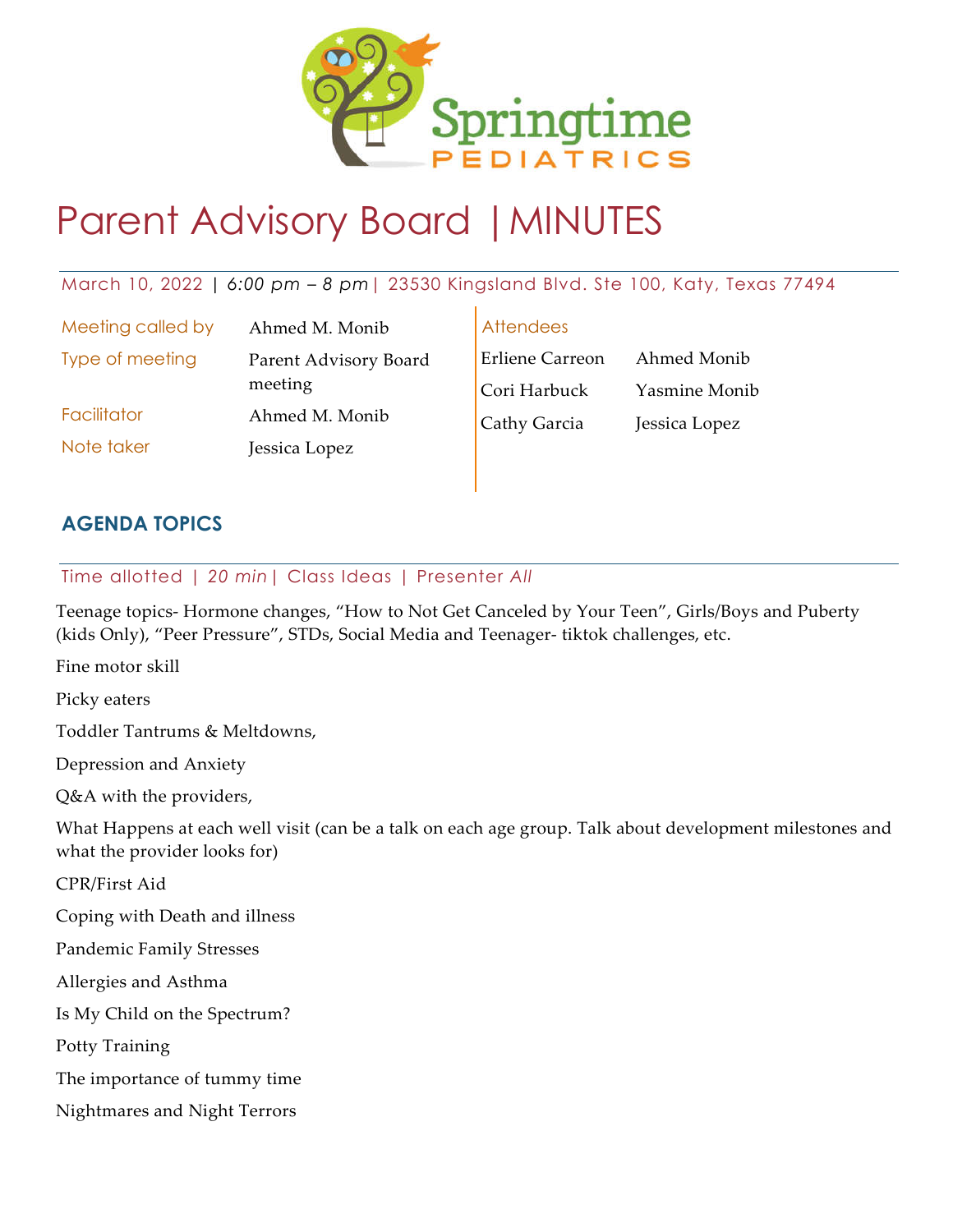

## Parent Advisory Board |MINUTES

## March 10, 2022 *| 6:00 pm – 8 pm*| 23530 Kingsland Blvd. Ste 100, Katy, Texas 77494

Meeting called by Ahmed M. Monib Type of meeting Parent Advisory Board meeting Facilitator Ahmed M. Monib Note taker **Jessica Lopez** 

Attendees

| <b>Erliene Carreon</b> | Ahmed Monib   |
|------------------------|---------------|
| Cori Harbuck           | Yasmine Monib |
| Cathy Garcia           | Jessica Lopez |

## **AGENDA TOPICS**

## Time allotted | *20 min*| Class Ideas | Presenter *All*

Teenage topics- Hormone changes, "How to Not Get Canceled by Your Teen", Girls/Boys and Puberty (kids Only), "Peer Pressure", STDs, Social Media and Teenager- tiktok challenges, etc.

Fine motor skill

Picky eaters

Toddler Tantrums & Meltdowns,

Depression and Anxiety

Q&A with the providers,

What Happens at each well visit (can be a talk on each age group. Talk about development milestones and what the provider looks for)

CPR/First Aid

Coping with Death and illness

Pandemic Family Stresses

Allergies and Asthma

Is My Child on the Spectrum?

Potty Training

The importance of tummy time

Nightmares and Night Terrors